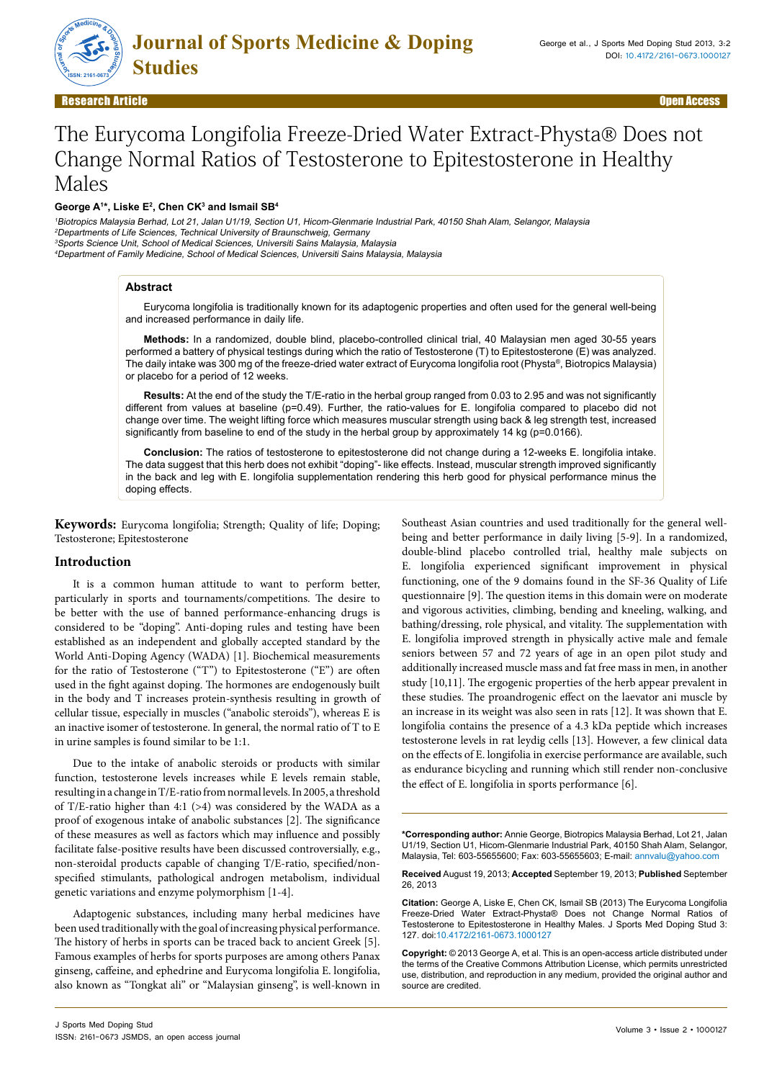

# The Eurycoma Longifolia Freeze-Dried Water Extract-Physta® Does not Change Normal Ratios of Testosterone to Epitestosterone in Healthy Males

**George A1 \*, Liske E2 , Chen CK3 and Ismail SB4**

Biotropics Malaysia Berhad, Lot 21, Jalan U1/19, Section U1, Hicom-Glenmarie Industrial Park, 40150 Shah Alam, Selangor, Malaysia Departments of Life Sciences, Technical University of Braunschweig, Germany Sports Science Unit, School of Medical Sciences, Universiti Sains Malaysia, Malaysia Department of Family Medicine, School of Medical Sciences, Universiti Sains Malaysia, Malaysia

#### **Abstract**

Eurycoma longifolia is traditionally known for its adaptogenic properties and often used for the general well-being and increased performance in daily life.

**Methods:** In a randomized, double blind, placebo-controlled clinical trial, 40 Malaysian men aged 30-55 years performed a battery of physical testings during which the ratio of Testosterone (T) to Epitestosterone (E) was analyzed. The daily intake was 300 mg of the freeze-dried water extract of Eurycoma longifolia root (Physta®, Biotropics Malaysia) or placebo for a period of 12 weeks.

**Results:** At the end of the study the T/E-ratio in the herbal group ranged from 0.03 to 2.95 and was not significantly different from values at baseline (p=0.49). Further, the ratio-values for E. longifolia compared to placebo did not change over time. The weight lifting force which measures muscular strength using back & leg strength test, increased significantly from baseline to end of the study in the herbal group by approximately 14 kg (p=0.0166).

**Conclusion:** The ratios of testosterone to epitestosterone did not change during a 12-weeks E. longifolia intake. The data suggest that this herb does not exhibit "doping"- like effects. Instead, muscular strength improved significantly in the back and leg with E. longifolia supplementation rendering this herb good for physical performance minus the doping effects.

**Keywords:** Eurycoma longifolia; Strength; Quality of life; Doping; Testosterone; Epitestosterone

# **Introduction**

It is a common human attitude to want to perform better, particularly in sports and tournaments/competitions. The desire to be better with the use of banned performance-enhancing drugs is considered to be "doping". Anti-doping rules and testing have been established as an independent and globally accepted standard by the World Anti-Doping Agency (WADA) [1]. Biochemical measurements for the ratio of Testosterone ("T") to Epitestosterone ("E") are often used in the fight against doping. The hormones are endogenously built in the body and T increases protein-synthesis resulting in growth of cellular tissue, especially in muscles ("anabolic steroids"), whereas E is an inactive isomer of testosterone. In general, the normal ratio of T to E in urine samples is found similar to be 1:1.

Due to the intake of anabolic steroids or products with similar function, testosterone levels increases while E levels remain stable, resulting in a change in T/E-ratio from normal levels. In 2005, a threshold of T/E-ratio higher than 4:1 (>4) was considered by the WADA as a proof of exogenous intake of anabolic substances [2]. The significance of these measures as well as factors which may influence and possibly facilitate false-positive results have been discussed controversially, e.g., non-steroidal products capable of changing T/E-ratio, specified/nonspecified stimulants, pathological androgen metabolism, individual genetic variations and enzyme polymorphism [1-4].

Adaptogenic substances, including many herbal medicines have been used traditionally with the goal of increasing physical performance. The history of herbs in sports can be traced back to ancient Greek [5]. Famous examples of herbs for sports purposes are among others Panax ginseng, caffeine, and ephedrine and Eurycoma longifolia E. longifolia, also known as "Tongkat ali" or "Malaysian ginseng", is well-known in Southeast Asian countries and used traditionally for the general wellbeing and better performance in daily living [5-9]. In a randomized, double-blind placebo controlled trial, healthy male subjects on E. longifolia experienced significant improvement in physical functioning, one of the 9 domains found in the SF-36 Quality of Life questionnaire [9]. The question items in this domain were on moderate and vigorous activities, climbing, bending and kneeling, walking, and bathing/dressing, role physical, and vitality. The supplementation with E. longifolia improved strength in physically active male and female seniors between 57 and 72 years of age in an open pilot study and additionally increased muscle mass and fat free mass in men, in another study [10,11]. The ergogenic properties of the herb appear prevalent in these studies. The proandrogenic effect on the laevator ani muscle by an increase in its weight was also seen in rats [12]. It was shown that E. longifolia contains the presence of a 4.3 kDa peptide which increases testosterone levels in rat leydig cells [13]. However, a few clinical data on the effects of E. longifolia in exercise performance are available, such as endurance bicycling and running which still render non-conclusive the effect of E. longifolia in sports performance [6].

**\*Corresponding author:** Annie George, Biotropics Malaysia Berhad, Lot 21, Jalan U1/19, Section U1, Hicom-Glenmarie Industrial Park, 40150 Shah Alam, Selangor, Malaysia, Tel: 603-55655600; Fax: 603-55655603; E-mail: annvalu@yahoo.com

**Received** August 19, 2013; **Accepted** September 19, 2013; **Published** September 26, 2013

**Citation:** George A, Liske E, Chen CK, Ismail SB (2013) The Eurycoma Longifolia Freeze-Dried Water Extract-Physta® Does not Change Normal Ratios of Testosterone to Epitestosterone in Healthy Males. J Sports Med Doping Stud 3: 127. doi:10.4172/2161-0673.1000127

**Copyright:** © 2013 George A, et al. This is an open-access article distributed under the terms of the Creative Commons Attribution License, which permits unrestricted use, distribution, and reproduction in any medium, provided the original author and source are credited.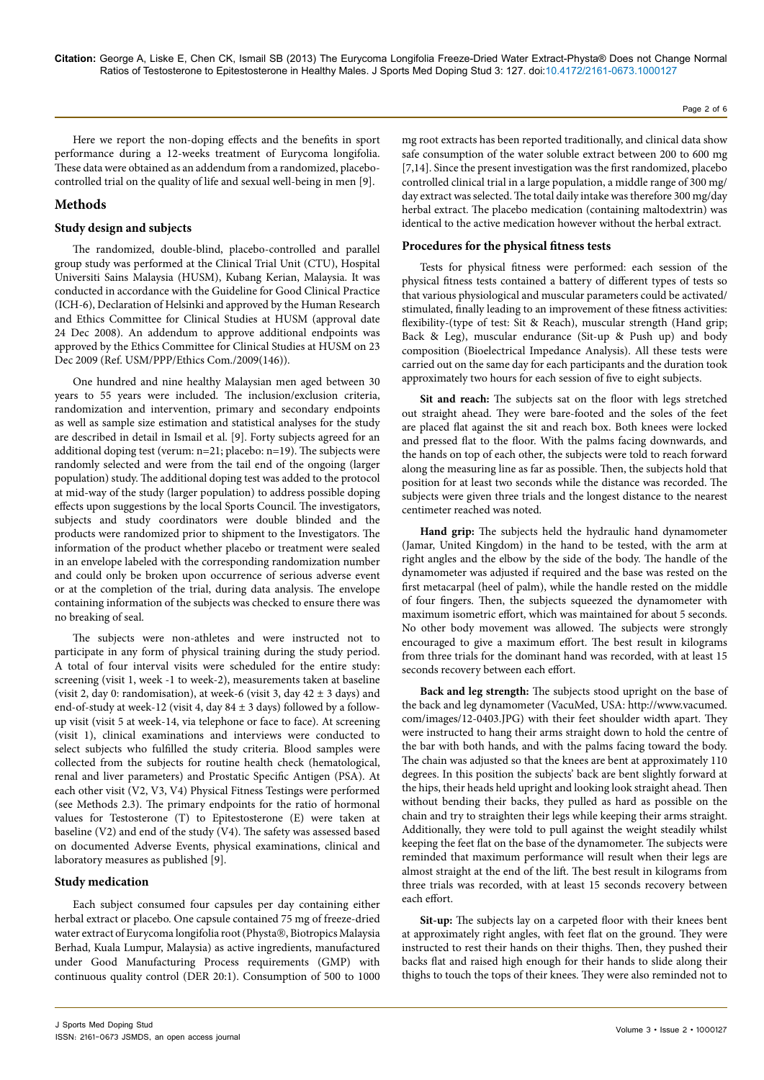Here we report the non-doping effects and the benefits in sport performance during a 12-weeks treatment of Eurycoma longifolia. These data were obtained as an addendum from a randomized, placebocontrolled trial on the quality of life and sexual well-being in men [9].

# **Methods**

# **Study design and subjects**

The randomized, double-blind, placebo-controlled and parallel group study was performed at the Clinical Trial Unit (CTU), Hospital Universiti Sains Malaysia (HUSM), Kubang Kerian, Malaysia. It was conducted in accordance with the Guideline for Good Clinical Practice (ICH-6), Declaration of Helsinki and approved by the Human Research and Ethics Committee for Clinical Studies at HUSM (approval date 24 Dec 2008). An addendum to approve additional endpoints was approved by the Ethics Committee for Clinical Studies at HUSM on 23 Dec 2009 (Ref. USM/PPP/Ethics Com./2009(146)).

One hundred and nine healthy Malaysian men aged between 30 years to 55 years were included. The inclusion/exclusion criteria, randomization and intervention, primary and secondary endpoints as well as sample size estimation and statistical analyses for the study are described in detail in Ismail et al. [9]. Forty subjects agreed for an additional doping test (verum: n=21; placebo: n=19). The subjects were randomly selected and were from the tail end of the ongoing (larger population) study. The additional doping test was added to the protocol at mid-way of the study (larger population) to address possible doping effects upon suggestions by the local Sports Council. The investigators, subjects and study coordinators were double blinded and the products were randomized prior to shipment to the Investigators. The information of the product whether placebo or treatment were sealed in an envelope labeled with the corresponding randomization number and could only be broken upon occurrence of serious adverse event or at the completion of the trial, during data analysis. The envelope containing information of the subjects was checked to ensure there was no breaking of seal.

The subjects were non-athletes and were instructed not to participate in any form of physical training during the study period. A total of four interval visits were scheduled for the entire study: screening (visit 1, week -1 to week-2), measurements taken at baseline (visit 2, day 0: randomisation), at week-6 (visit 3, day  $42 \pm 3$  days) and end-of-study at week-12 (visit 4, day 84 ± 3 days) followed by a followup visit (visit 5 at week-14, via telephone or face to face). At screening (visit 1), clinical examinations and interviews were conducted to select subjects who fulfilled the study criteria. Blood samples were collected from the subjects for routine health check (hematological, renal and liver parameters) and Prostatic Specific Antigen (PSA). At each other visit (V2, V3, V4) Physical Fitness Testings were performed (see Methods 2.3). The primary endpoints for the ratio of hormonal values for Testosterone (T) to Epitestosterone (E) were taken at baseline (V2) and end of the study (V4). The safety was assessed based on documented Adverse Events, physical examinations, clinical and laboratory measures as published [9].

# **Study medication**

Each subject consumed four capsules per day containing either herbal extract or placebo. One capsule contained 75 mg of freeze-dried water extract of Eurycoma longifolia root (Physta®, Biotropics Malaysia Berhad, Kuala Lumpur, Malaysia) as active ingredients, manufactured under Good Manufacturing Process requirements (GMP) with continuous quality control (DER 20:1). Consumption of 500 to 1000

mg root extracts has been reported traditionally, and clinical data show safe consumption of the water soluble extract between 200 to 600 mg [7,14]. Since the present investigation was the first randomized, placebo controlled clinical trial in a large population, a middle range of 300 mg/ day extract was selected. The total daily intake was therefore 300 mg/day herbal extract. The placebo medication (containing maltodextrin) was identical to the active medication however without the herbal extract.

# **Procedures for the physical fitness tests**

Tests for physical fitness were performed: each session of the physical fitness tests contained a battery of different types of tests so that various physiological and muscular parameters could be activated/ stimulated, finally leading to an improvement of these fitness activities: flexibility-(type of test: Sit & Reach), muscular strength (Hand grip; Back & Leg), muscular endurance (Sit-up & Push up) and body composition (Bioelectrical Impedance Analysis). All these tests were carried out on the same day for each participants and the duration took approximately two hours for each session of five to eight subjects.

**Sit and reach:** The subjects sat on the floor with legs stretched out straight ahead. They were bare-footed and the soles of the feet are placed flat against the sit and reach box. Both knees were locked and pressed flat to the floor. With the palms facing downwards, and the hands on top of each other, the subjects were told to reach forward along the measuring line as far as possible. Then, the subjects hold that position for at least two seconds while the distance was recorded. The subjects were given three trials and the longest distance to the nearest centimeter reached was noted.

**Hand grip:** The subjects held the hydraulic hand dynamometer (Jamar, United Kingdom) in the hand to be tested, with the arm at right angles and the elbow by the side of the body. The handle of the dynamometer was adjusted if required and the base was rested on the first metacarpal (heel of palm), while the handle rested on the middle of four fingers. Then, the subjects squeezed the dynamometer with maximum isometric effort, which was maintained for about 5 seconds. No other body movement was allowed. The subjects were strongly encouraged to give a maximum effort. The best result in kilograms from three trials for the dominant hand was recorded, with at least 15 seconds recovery between each effort.

**Back and leg strength:** The subjects stood upright on the base of the back and leg dynamometer (VacuMed, USA: [http://www.vacumed.](http://www.vacumed.com/images/12-0403.JPG) [com/images/12-0403.JPG](http://www.vacumed.com/images/12-0403.JPG)) with their feet shoulder width apart. They were instructed to hang their arms straight down to hold the centre of the bar with both hands, and with the palms facing toward the body. The chain was adjusted so that the knees are bent at approximately 110 degrees. In this position the subjects' back are bent slightly forward at the hips, their heads held upright and looking look straight ahead. Then without bending their backs, they pulled as hard as possible on the chain and try to straighten their legs while keeping their arms straight. Additionally, they were told to pull against the weight steadily whilst keeping the feet flat on the base of the dynamometer. The subjects were reminded that maximum performance will result when their legs are almost straight at the end of the lift. The best result in kilograms from three trials was recorded, with at least 15 seconds recovery between each effort.

**Sit-up:** The subjects lay on a carpeted floor with their knees bent at approximately right angles, with feet flat on the ground. They were instructed to rest their hands on their thighs. Then, they pushed their backs flat and raised high enough for their hands to slide along their thighs to touch the tops of their knees. They were also reminded not to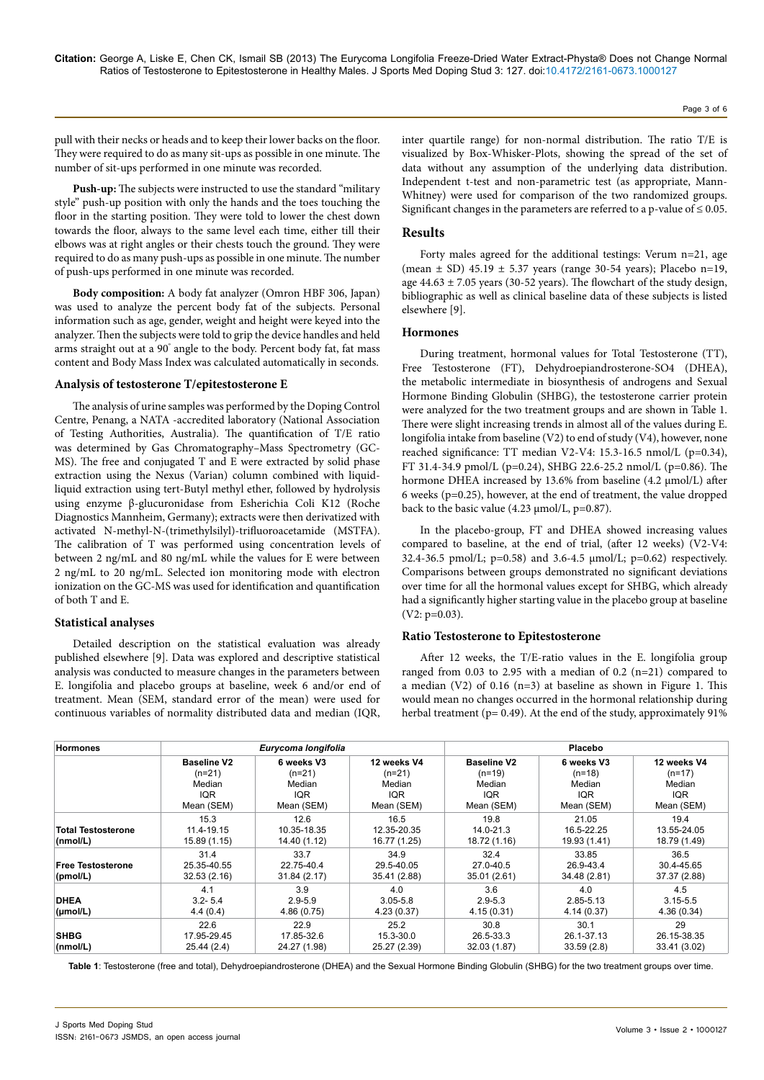pull with their necks or heads and to keep their lower backs on the floor. They were required to do as many sit-ups as possible in one minute. The number of sit-ups performed in one minute was recorded.

**Push-up:** The subjects were instructed to use the standard "military style" push-up position with only the hands and the toes touching the floor in the starting position. They were told to lower the chest down towards the floor, always to the same level each time, either till their elbows was at right angles or their chests touch the ground. They were required to do as many push-ups as possible in one minute. The number of push-ups performed in one minute was recorded.

**Body composition:** A body fat analyzer (Omron HBF 306, Japan) was used to analyze the percent body fat of the subjects. Personal information such as age, gender, weight and height were keyed into the analyzer. Then the subjects were told to grip the device handles and held arms straight out at a 90° angle to the body. Percent body fat, fat mass content and Body Mass Index was calculated automatically in seconds.

#### **Analysis of testosterone T/epitestosterone E**

The analysis of urine samples was performed by the Doping Control Centre, Penang, a NATA -accredited laboratory (National Association of Testing Authorities, Australia). The quantification of T/E ratio was determined by Gas Chromatography–Mass Spectrometry (GC-MS). The free and conjugated T and E were extracted by solid phase extraction using the Nexus (Varian) column combined with liquidliquid extraction using tert-Butyl methyl ether, followed by hydrolysis using enzyme β-glucuronidase from Esherichia Coli K12 (Roche Diagnostics Mannheim, Germany); extracts were then derivatized with activated N-methyl-N-(trimethylsilyl)-trifluoroacetamide (MSTFA). The calibration of T was performed using concentration levels of between 2 ng/mL and 80 ng/mL while the values for E were between 2 ng/mL to 20 ng/mL. Selected ion monitoring mode with electron ionization on the GC-MS was used for identification and quantification of both T and E.

#### **Statistical analyses**

Detailed description on the statistical evaluation was already published elsewhere [9]. Data was explored and descriptive statistical analysis was conducted to measure changes in the parameters between E. longifolia and placebo groups at baseline, week 6 and/or end of treatment. Mean (SEM, standard error of the mean) were used for continuous variables of normality distributed data and median (IQR,

inter quartile range) for non-normal distribution. The ratio T/E is visualized by Box-Whisker-Plots, showing the spread of the set of data without any assumption of the underlying data distribution. Independent t-test and non-parametric test (as appropriate, Mann-Whitney) were used for comparison of the two randomized groups. Significant changes in the parameters are referred to a p-value of  $\leq 0.05$ .

#### **Results**

Forty males agreed for the additional testings: Verum n=21, age (mean ± SD) 45.19 ± 5.37 years (range 30-54 years); Placebo n=19, age  $44.63 \pm 7.05$  years (30-52 years). The flowchart of the study design, bibliographic as well as clinical baseline data of these subjects is listed elsewhere [9].

#### **Hormones**

During treatment, hormonal values for Total Testosterone (TT), Free Testosterone (FT), Dehydroepiandrosterone-SO4 (DHEA), the metabolic intermediate in biosynthesis of androgens and Sexual Hormone Binding Globulin (SHBG), the testosterone carrier protein were analyzed for the two treatment groups and are shown in Table 1. There were slight increasing trends in almost all of the values during E. longifolia intake from baseline (V2) to end of study (V4), however, none reached significance: TT median V2-V4: 15.3-16.5 nmol/L (p=0.34), FT 31.4-34.9 pmol/L (p=0.24), SHBG 22.6-25.2 nmol/L (p=0.86). The hormone DHEA increased by 13.6% from baseline (4.2 µmol/L) after 6 weeks (p=0.25), however, at the end of treatment, the value dropped back to the basic value (4.23 µmol/L, p=0.87).

In the placebo-group, FT and DHEA showed increasing values compared to baseline, at the end of trial, (after 12 weeks) (V2-V4: 32.4-36.5 pmol/L;  $p=0.58$ ) and 3.6-4.5  $\mu$ mol/L;  $p=0.62$ ) respectively. Comparisons between groups demonstrated no significant deviations over time for all the hormonal values except for SHBG, which already had a significantly higher starting value in the placebo group at baseline (V2: p=0.03).

#### **Ratio Testosterone to Epitestosterone**

After 12 weeks, the T/E-ratio values in the E. longifolia group ranged from 0.03 to 2.95 with a median of 0.2 (n=21) compared to a median (V2) of 0.16 (n=3) at baseline as shown in Figure 1. This would mean no changes occurred in the hormonal relationship during herbal treatment (p= 0.49). At the end of the study, approximately 91%

| <b>Hormones</b>                       | Eurycoma longifolia                                                  |                                                              |                                                               | Placebo                                                              |                                                              |                                                        |
|---------------------------------------|----------------------------------------------------------------------|--------------------------------------------------------------|---------------------------------------------------------------|----------------------------------------------------------------------|--------------------------------------------------------------|--------------------------------------------------------|
|                                       | <b>Baseline V2</b><br>$(n=21)$<br>Median<br><b>IQR</b><br>Mean (SEM) | 6 weeks V3<br>$(n=21)$<br>Median<br><b>IQR</b><br>Mean (SEM) | 12 weeks V4<br>$(n=21)$<br>Median<br><b>IQR</b><br>Mean (SEM) | <b>Baseline V2</b><br>$(n=19)$<br>Median<br><b>IQR</b><br>Mean (SEM) | 6 weeks V3<br>$(n=18)$<br>Median<br><b>IQR</b><br>Mean (SEM) | 12 weeks V4<br>$(n=17)$<br>Median<br>IQR<br>Mean (SEM) |
| <b>Total Testosterone</b><br>(nmol/L) | 15.3<br>11.4-19.15<br>15.89 (1.15)                                   | 12.6<br>10.35-18.35<br>14.40 (1.12)                          | 16.5<br>12.35-20.35<br>16.77 (1.25)                           | 19.8<br>14.0-21.3<br>18.72 (1.16)                                    | 21.05<br>16.5-22.25<br>19.93 (1.41)                          | 19.4<br>13.55-24.05<br>18.79 (1.49)                    |
| <b>Free Testosterone</b><br>(pmol/L)  | 31.4<br>25.35-40.55<br>32.53 (2.16)                                  | 33.7<br>22.75-40.4<br>31.84 (2.17)                           | 34.9<br>29.5-40.05<br>35.41 (2.88)                            | 32.4<br>27.0-40.5<br>35.01 (2.61)                                    | 33.85<br>26.9-43.4<br>34.48 (2.81)                           | 36.5<br>30.4-45.65<br>37.37 (2.88)                     |
| <b>DHEA</b><br>$(\mu \text{mol/L})$   | 4.1<br>$3.2 - 5.4$<br>4.4(0.4)                                       | 3.9<br>$2.9 - 5.9$<br>4.86(0.75)                             | 4.0<br>$3.05 - 5.8$<br>4.23 (0.37)                            | 3.6<br>$2.9 - 5.3$<br>4.15 (0.31)                                    | 4.0<br>2.85-5.13<br>4.14(0.37)                               | 4.5<br>$3.15 - 5.5$<br>4.36(0.34)                      |
| <b>SHBG</b><br>(mmol/L)               | 22.6<br>17.95-29.45<br>25.44(2.4)                                    | 22.9<br>17.85-32.6<br>24.27 (1.98)                           | 25.2<br>15.3-30.0<br>25.27 (2.39)                             | 30.8<br>26.5-33.3<br>32.03 (1.87)                                    | 30.1<br>26.1-37.13<br>33.59(2.8)                             | 29<br>26.15-38.35<br>33.41 (3.02)                      |

**Table 1**: Testosterone (free and total), Dehydroepiandrosterone (DHEA) and the Sexual Hormone Binding Globulin (SHBG) for the two treatment groups over time.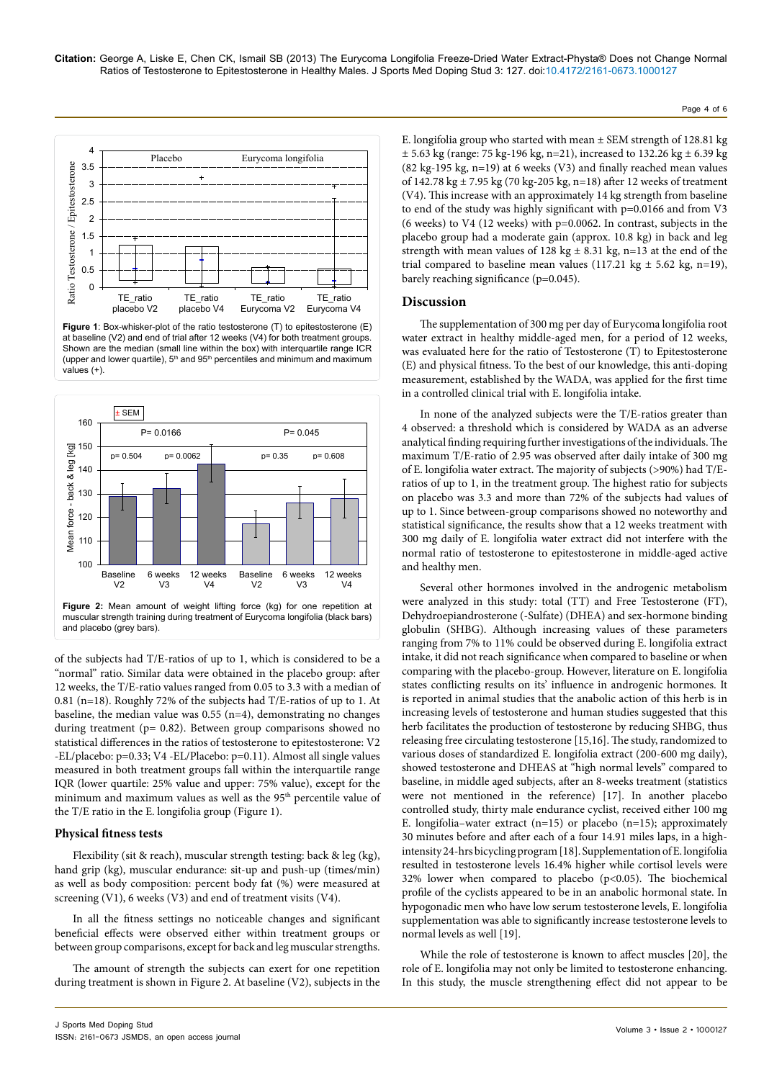

**Figure 1**: Box-whisker-plot of the ratio testosterone (T) to epitestosterone (E) at baseline (V2) and end of trial after 12 weeks (V4) for both treatment groups. Shown are the median (small line within the box) with interquartile range ICR (upper and lower quartile),  $5<sup>th</sup>$  and  $95<sup>th</sup>$  percentiles and minimum and maximum values (+).



of the subjects had T/E-ratios of up to 1, which is considered to be a "normal" ratio. Similar data were obtained in the placebo group: after 12 weeks, the T/E-ratio values ranged from 0.05 to 3.3 with a median of 0.81 (n=18). Roughly 72% of the subjects had T/E-ratios of up to 1. At baseline, the median value was  $0.55$  (n=4), demonstrating no changes during treatment (p= 0.82). Between group comparisons showed no statistical differences in the ratios of testosterone to epitestosterone: V2 -EL/placebo: p=0.33; V4 -EL/Placebo: p=0.11). Almost all single values measured in both treatment groups fall within the interquartile range IQR (lower quartile: 25% value and upper: 75% value), except for the minimum and maximum values as well as the 95<sup>th</sup> percentile value of the T/E ratio in the E. longifolia group (Figure 1).

# **Physical fitness tests**

Flexibility (sit & reach), muscular strength testing: back & leg (kg), hand grip (kg), muscular endurance: sit-up and push-up (times/min) as well as body composition: percent body fat (%) were measured at screening (V1), 6 weeks (V3) and end of treatment visits (V4).

In all the fitness settings no noticeable changes and significant beneficial effects were observed either within treatment groups or between group comparisons, except for back and leg muscular strengths.

The amount of strength the subjects can exert for one repetition during treatment is shown in Figure 2. At baseline (V2), subjects in the

E. longifolia group who started with mean  $\pm$  SEM strength of 128.81 kg  $\pm$  5.63 kg (range: 75 kg-196 kg, n=21), increased to 132.26 kg  $\pm$  6.39 kg (82 kg-195 kg, n=19) at 6 weeks (V3) and finally reached mean values of 142.78 kg ± 7.95 kg (70 kg-205 kg, n=18) after 12 weeks of treatment (V4). This increase with an approximately 14 kg strength from baseline to end of the study was highly significant with p=0.0166 and from V3 (6 weeks) to V4 (12 weeks) with p=0.0062. In contrast, subjects in the placebo group had a moderate gain (approx. 10.8 kg) in back and leg strength with mean values of 128 kg  $\pm$  8.31 kg, n=13 at the end of the trial compared to baseline mean values (117.21 kg  $\pm$  5.62 kg, n=19), barely reaching significance (p=0.045).

Page 4 of 6

# **Discussion**

The supplementation of 300 mg per day of Eurycoma longifolia root water extract in healthy middle-aged men, for a period of 12 weeks, was evaluated here for the ratio of Testosterone (T) to Epitestosterone (E) and physical fitness. To the best of our knowledge, this anti-doping measurement, established by the WADA, was applied for the first time in a controlled clinical trial with E. longifolia intake.

In none of the analyzed subjects were the T/E-ratios greater than 4 observed: a threshold which is considered by WADA as an adverse analytical finding requiring further investigations of the individuals. The maximum T/E-ratio of 2.95 was observed after daily intake of 300 mg of E. longifolia water extract. The majority of subjects (>90%) had T/Eratios of up to 1, in the treatment group. The highest ratio for subjects on placebo was 3.3 and more than 72% of the subjects had values of up to 1. Since between-group comparisons showed no noteworthy and statistical significance, the results show that a 12 weeks treatment with 300 mg daily of E. longifolia water extract did not interfere with the normal ratio of testosterone to epitestosterone in middle-aged active and healthy men.

Several other hormones involved in the androgenic metabolism were analyzed in this study: total (TT) and Free Testosterone (FT), Dehydroepiandrosterone (-Sulfate) (DHEA) and sex-hormone binding globulin (SHBG). Although increasing values of these parameters ranging from 7% to 11% could be observed during E. longifolia extract intake, it did not reach significance when compared to baseline or when comparing with the placebo-group. However, literature on E. longifolia states conflicting results on its' influence in androgenic hormones. It is reported in animal studies that the anabolic action of this herb is in increasing levels of testosterone and human studies suggested that this herb facilitates the production of testosterone by reducing SHBG, thus releasing free circulating testosterone [15,16]. The study, randomized to various doses of standardized E. longifolia extract (200-600 mg daily), showed testosterone and DHEAS at "high normal levels" compared to baseline, in middle aged subjects, after an 8-weeks treatment (statistics were not mentioned in the reference) [17]. In another placebo controlled study, thirty male endurance cyclist, received either 100 mg E. longifolia–water extract  $(n=15)$  or placebo  $(n=15)$ ; approximately 30 minutes before and after each of a four 14.91 miles laps, in a highintensity 24-hrs bicycling program [18]. Supplementation of E. longifolia resulted in testosterone levels 16.4% higher while cortisol levels were 32% lower when compared to placebo ( $p$ <0.05). The biochemical profile of the cyclists appeared to be in an anabolic hormonal state. In hypogonadic men who have low serum testosterone levels, E. longifolia supplementation was able to significantly increase testosterone levels to normal levels as well [19].

While the role of testosterone is known to affect muscles [20], the role of E. longifolia may not only be limited to testosterone enhancing. In this study, the muscle strengthening effect did not appear to be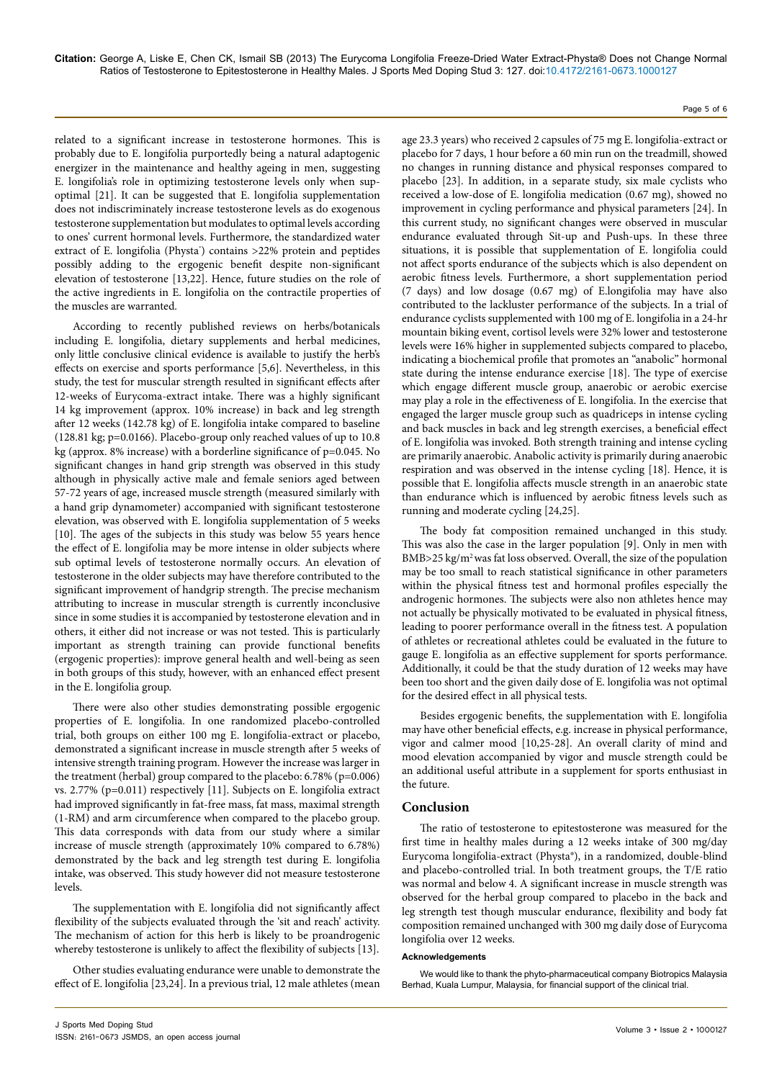related to a significant increase in testosterone hormones. This is probably due to E. longifolia purportedly being a natural adaptogenic energizer in the maintenance and healthy ageing in men, suggesting E. longifolia's role in optimizing testosterone levels only when supoptimal [21]. It can be suggested that E. longifolia supplementation does not indiscriminately increase testosterone levels as do exogenous testosterone supplementation but modulates to optimal levels according to ones' current hormonal levels. Furthermore, the standardized water extract of E. longifolia (Physta\*) contains >22% protein and peptides possibly adding to the ergogenic benefit despite non-significant elevation of testosterone [13,22]. Hence, future studies on the role of the active ingredients in E. longifolia on the contractile properties of the muscles are warranted.

According to recently published reviews on herbs/botanicals including E. longifolia, dietary supplements and herbal medicines, only little conclusive clinical evidence is available to justify the herb's effects on exercise and sports performance [5,6]. Nevertheless, in this study, the test for muscular strength resulted in significant effects after 12-weeks of Eurycoma-extract intake. There was a highly significant 14 kg improvement (approx. 10% increase) in back and leg strength after 12 weeks (142.78 kg) of E. longifolia intake compared to baseline (128.81 kg; p=0.0166). Placebo-group only reached values of up to 10.8 kg (approx. 8% increase) with a borderline significance of p=0.045. No significant changes in hand grip strength was observed in this study although in physically active male and female seniors aged between 57-72 years of age, increased muscle strength (measured similarly with a hand grip dynamometer) accompanied with significant testosterone elevation, was observed with E. longifolia supplementation of 5 weeks [10]. The ages of the subjects in this study was below 55 years hence the effect of E. longifolia may be more intense in older subjects where sub optimal levels of testosterone normally occurs. An elevation of testosterone in the older subjects may have therefore contributed to the significant improvement of handgrip strength. The precise mechanism attributing to increase in muscular strength is currently inconclusive since in some studies it is accompanied by testosterone elevation and in others, it either did not increase or was not tested. This is particularly important as strength training can provide functional benefits (ergogenic properties): improve general health and well-being as seen in both groups of this study, however, with an enhanced effect present in the E. longifolia group.

There were also other studies demonstrating possible ergogenic properties of E. longifolia. In one randomized placebo-controlled trial, both groups on either 100 mg E. longifolia-extract or placebo, demonstrated a significant increase in muscle strength after 5 weeks of intensive strength training program. However the increase was larger in the treatment (herbal) group compared to the placebo: 6.78% (p=0.006) vs. 2.77% (p=0.011) respectively [11]. Subjects on E. longifolia extract had improved significantly in fat-free mass, fat mass, maximal strength (1-RM) and arm circumference when compared to the placebo group. This data corresponds with data from our study where a similar increase of muscle strength (approximately 10% compared to 6.78%) demonstrated by the back and leg strength test during E. longifolia intake, was observed. This study however did not measure testosterone levels.

The supplementation with E. longifolia did not significantly affect flexibility of the subjects evaluated through the 'sit and reach' activity. The mechanism of action for this herb is likely to be proandrogenic whereby testosterone is unlikely to affect the flexibility of subjects [13].

Other studies evaluating endurance were unable to demonstrate the effect of E. longifolia [23,24]. In a previous trial, 12 male athletes (mean

age 23.3 years) who received 2 capsules of 75 mg E. longifolia-extract or placebo for 7 days, 1 hour before a 60 min run on the treadmill, showed no changes in running distance and physical responses compared to placebo [23]. In addition, in a separate study, six male cyclists who received a low-dose of E. longifolia medication (0.67 mg), showed no improvement in cycling performance and physical parameters [24]. In this current study, no significant changes were observed in muscular endurance evaluated through Sit-up and Push-ups. In these three situations, it is possible that supplementation of E. longifolia could not affect sports endurance of the subjects which is also dependent on aerobic fitness levels. Furthermore, a short supplementation period (7 days) and low dosage (0.67 mg) of E.longifolia may have also contributed to the lackluster performance of the subjects. In a trial of endurance cyclists supplemented with 100 mg of E. longifolia in a 24-hr mountain biking event, cortisol levels were 32% lower and testosterone levels were 16% higher in supplemented subjects compared to placebo, indicating a biochemical profile that promotes an "anabolic" hormonal state during the intense endurance exercise [18]. The type of exercise which engage different muscle group, anaerobic or aerobic exercise may play a role in the effectiveness of E. longifolia. In the exercise that engaged the larger muscle group such as quadriceps in intense cycling and back muscles in back and leg strength exercises, a beneficial effect of E. longifolia was invoked. Both strength training and intense cycling are primarily anaerobic. Anabolic activity is primarily during anaerobic respiration and was observed in the intense cycling [18]. Hence, it is possible that E. longifolia affects muscle strength in an anaerobic state than endurance which is influenced by aerobic fitness levels such as running and moderate cycling [24,25].

The body fat composition remained unchanged in this study. This was also the case in the larger population [9]. Only in men with BMB>25 kg/m2 was fat loss observed. Overall, the size of the population may be too small to reach statistical significance in other parameters within the physical fitness test and hormonal profiles especially the androgenic hormones. The subjects were also non athletes hence may not actually be physically motivated to be evaluated in physical fitness, leading to poorer performance overall in the fitness test. A population of athletes or recreational athletes could be evaluated in the future to gauge E. longifolia as an effective supplement for sports performance. Additionally, it could be that the study duration of 12 weeks may have been too short and the given daily dose of E. longifolia was not optimal for the desired effect in all physical tests.

Besides ergogenic benefits, the supplementation with E. longifolia may have other beneficial effects, e.g. increase in physical performance, vigor and calmer mood [10,25-28]. An overall clarity of mind and mood elevation accompanied by vigor and muscle strength could be an additional useful attribute in a supplement for sports enthusiast in the future.

# **Conclusion**

The ratio of testosterone to epitestosterone was measured for the first time in healthy males during a 12 weeks intake of 300 mg/day Eurycoma longifolia-extract (Physta®), in a randomized, double-blind and placebo-controlled trial. In both treatment groups, the T/E ratio was normal and below 4. A significant increase in muscle strength was observed for the herbal group compared to placebo in the back and leg strength test though muscular endurance, flexibility and body fat composition remained unchanged with 300 mg daily dose of Eurycoma longifolia over 12 weeks.

#### **Acknowledgements**

We would like to thank the phyto-pharmaceutical company Biotropics Malaysia Berhad, Kuala Lumpur, Malaysia, for financial support of the clinical trial.